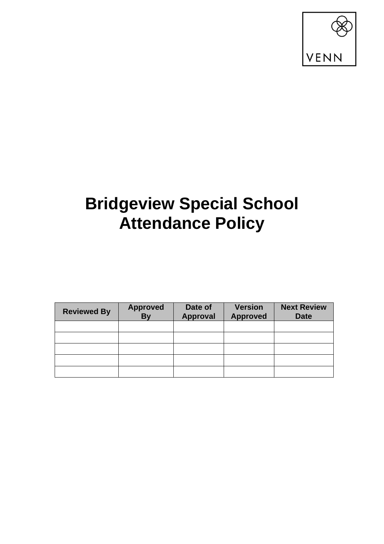

# **Bridgeview Special School Attendance Policy**

| <b>Reviewed By</b> | <b>Approved</b><br><b>By</b> | Date of<br><b>Approval</b> | <b>Version</b><br><b>Approved</b> | <b>Next Review</b><br><b>Date</b> |
|--------------------|------------------------------|----------------------------|-----------------------------------|-----------------------------------|
|                    |                              |                            |                                   |                                   |
|                    |                              |                            |                                   |                                   |
|                    |                              |                            |                                   |                                   |
|                    |                              |                            |                                   |                                   |
|                    |                              |                            |                                   |                                   |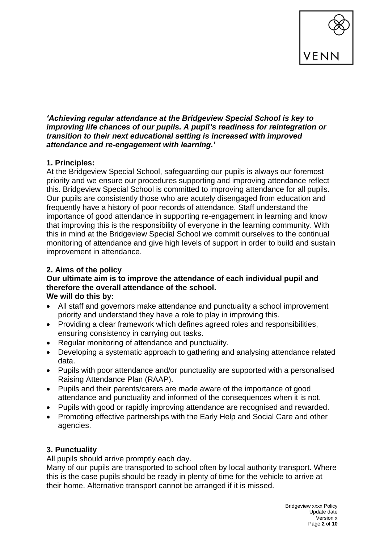

#### *'Achieving regular attendance at the Bridgeview Special School is key to improving life chances of our pupils. A pupil's readiness for reintegration or transition to their next educational setting is increased with improved attendance and re-engagement with learning.'*

# **1. Principles:**

At the Bridgeview Special School, safeguarding our pupils is always our foremost priority and we ensure our procedures supporting and improving attendance reflect this. Bridgeview Special School is committed to improving attendance for all pupils. Our pupils are consistently those who are acutely disengaged from education and frequently have a history of poor records of attendance. Staff understand the importance of good attendance in supporting re-engagement in learning and know that improving this is the responsibility of everyone in the learning community. With this in mind at the Bridgeview Special School we commit ourselves to the continual monitoring of attendance and give high levels of support in order to build and sustain improvement in attendance.

# **2. Aims of the policy**

#### **Our ultimate aim is to improve the attendance of each individual pupil and therefore the overall attendance of the school. We will do this by:**

- All staff and governors make attendance and punctuality a school improvement priority and understand they have a role to play in improving this.
- Providing a clear framework which defines agreed roles and responsibilities, ensuring consistency in carrying out tasks.
- Regular monitoring of attendance and punctuality.
- Developing a systematic approach to gathering and analysing attendance related data.
- Pupils with poor attendance and/or punctuality are supported with a personalised Raising Attendance Plan (RAAP).
- Pupils and their parents/carers are made aware of the importance of good attendance and punctuality and informed of the consequences when it is not.
- Pupils with good or rapidly improving attendance are recognised and rewarded.
- Promoting effective partnerships with the Early Help and Social Care and other agencies.

## **3. Punctuality**

All pupils should arrive promptly each day.

Many of our pupils are transported to school often by local authority transport. Where this is the case pupils should be ready in plenty of time for the vehicle to arrive at their home. Alternative transport cannot be arranged if it is missed.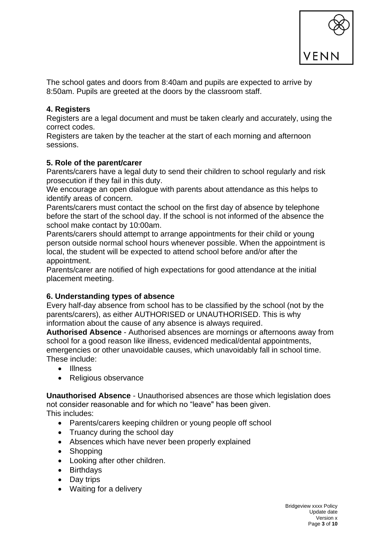

The school gates and doors from 8:40am and pupils are expected to arrive by 8:50am. Pupils are greeted at the doors by the classroom staff.

#### **4. Registers**

Registers are a legal document and must be taken clearly and accurately, using the correct codes.

Registers are taken by the teacher at the start of each morning and afternoon sessions.

#### **5. Role of the parent/carer**

Parents/carers have a legal duty to send their children to school regularly and risk prosecution if they fail in this duty.

We encourage an open dialogue with parents about attendance as this helps to identify areas of concern.

Parents/carers must contact the school on the first day of absence by telephone before the start of the school day. If the school is not informed of the absence the school make contact by 10:00am.

Parents/carers should attempt to arrange appointments for their child or young person outside normal school hours whenever possible. When the appointment is local, the student will be expected to attend school before and/or after the appointment.

Parents/carer are notified of high expectations for good attendance at the initial placement meeting.

## **6. Understanding types of absence**

Every half-day absence from school has to be classified by the school (not by the parents/carers), as either AUTHORISED or UNAUTHORISED. This is why information about the cause of any absence is always required.

**Authorised Absence** - Authorised absences are mornings or afternoons away from school for a good reason like illness, evidenced medical/dental appointments, emergencies or other unavoidable causes, which unavoidably fall in school time. These include:

- Illness
- Religious observance

**Unauthorised Absence** - Unauthorised absences are those which legislation does not consider reasonable and for which no "leave" has been given.

This includes:

- Parents/carers keeping children or young people off school
- Truancy during the school day
- Absences which have never been properly explained
- Shopping
- Looking after other children.
- Birthdays
- Day trips
- Waiting for a delivery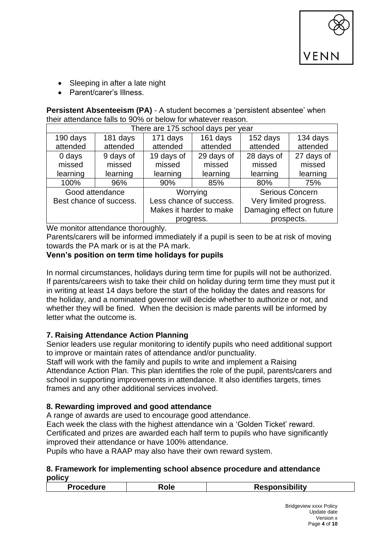

- Sleeping in after a late night
- Parent/carer's Illness.

**Persistent Absenteeism (PA)** - A student becomes a 'persistent absentee' when their attendance falls to 90% or below for whatever reason.

| There are 175 school days per year |           |                         |            |                           |            |  |
|------------------------------------|-----------|-------------------------|------------|---------------------------|------------|--|
| 190 days                           | 181 days  | 171 days                | 161 days   | 152 days                  | 134 days   |  |
| attended                           | attended  | attended                | attended   | attended                  | attended   |  |
| 0 days                             | 9 days of | 19 days of              | 29 days of | 28 days of                | 27 days of |  |
| missed                             | missed    | missed                  | missed     | missed                    | missed     |  |
| learning                           | learning  | learning                | learning   | learning                  | learning   |  |
| 100%                               | 96%       | 90%                     | 85%        | 80%                       | 75%        |  |
| Good attendance                    |           | Worrying                |            | <b>Serious Concern</b>    |            |  |
| Best chance of success.            |           | Less chance of success. |            | Very limited progress.    |            |  |
|                                    |           | Makes it harder to make |            | Damaging effect on future |            |  |
|                                    |           | progress.               |            | prospects.                |            |  |

We monitor attendance thoroughly.

Parents/carers will be informed immediately if a pupil is seen to be at risk of moving towards the PA mark or is at the PA mark.

# **Venn's position on term time holidays for pupils**

In normal circumstances, holidays during term time for pupils will not be authorized. If parents/careers wish to take their child on holiday during term time they must put it in writing at least 14 days before the start of the holiday the dates and reasons for the holiday, and a nominated governor will decide whether to authorize or not, and whether they will be fined. When the decision is made parents will be informed by letter what the outcome is.

# **7. Raising Attendance Action Planning**

Senior leaders use regular monitoring to identify pupils who need additional support to improve or maintain rates of attendance and/or punctuality.

Staff will work with the family and pupils to write and implement a Raising Attendance Action Plan. This plan identifies the role of the pupil, parents/carers and school in supporting improvements in attendance. It also identifies targets, times frames and any other additional services involved.

# **8. Rewarding improved and good attendance**

A range of awards are used to encourage good attendance.

Each week the class with the highest attendance win a 'Golden Ticket' reward.

Certificated and prizes are awarded each half term to pupils who have significantly improved their attendance or have 100% attendance.

Pupils who have a RAAP may also have their own reward system.

#### **8. Framework for implementing school absence procedure and attendance policy**

| <b>Responsibility</b><br>Procedure<br>oie |
|-------------------------------------------|
|-------------------------------------------|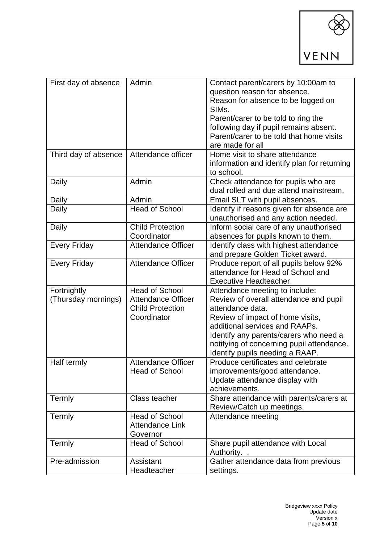

| First day of absence               | Admin                                                                                        | Contact parent/carers by 10:00am to<br>question reason for absence.<br>Reason for absence to be logged on<br>SIM <sub>s</sub> .<br>Parent/carer to be told to ring the<br>following day if pupil remains absent.<br>Parent/carer to be told that home visits<br>are made for all             |
|------------------------------------|----------------------------------------------------------------------------------------------|----------------------------------------------------------------------------------------------------------------------------------------------------------------------------------------------------------------------------------------------------------------------------------------------|
| Third day of absence               | Attendance officer                                                                           | Home visit to share attendance<br>information and identify plan for returning<br>to school.                                                                                                                                                                                                  |
| Daily                              | Admin                                                                                        | Check attendance for pupils who are<br>dual rolled and due attend mainstream.                                                                                                                                                                                                                |
| Daily                              | Admin                                                                                        | Email SLT with pupil absences.                                                                                                                                                                                                                                                               |
| Daily                              | <b>Head of School</b>                                                                        | Identify if reasons given for absence are<br>unauthorised and any action needed.                                                                                                                                                                                                             |
| Daily                              | <b>Child Protection</b><br>Coordinator                                                       | Inform social care of any unauthorised<br>absences for pupils known to them.                                                                                                                                                                                                                 |
| <b>Every Friday</b>                | <b>Attendance Officer</b>                                                                    | Identify class with highest attendance<br>and prepare Golden Ticket award.                                                                                                                                                                                                                   |
| <b>Every Friday</b>                | <b>Attendance Officer</b>                                                                    | Produce report of all pupils below 92%<br>attendance for Head of School and<br><b>Executive Headteacher.</b>                                                                                                                                                                                 |
| Fortnightly<br>(Thursday mornings) | <b>Head of School</b><br><b>Attendance Officer</b><br><b>Child Protection</b><br>Coordinator | Attendance meeting to include:<br>Review of overall attendance and pupil<br>attendance data.<br>Review of impact of home visits,<br>additional services and RAAPs.<br>Identify any parents/carers who need a<br>notifying of concerning pupil attendance.<br>Identify pupils needing a RAAP. |
| Half termly                        | <b>Attendance Officer</b><br><b>Head of School</b>                                           | Produce certificates and celebrate<br>improvements/good attendance.<br>Update attendance display with<br>achievements.                                                                                                                                                                       |
| Termly                             | Class teacher                                                                                | Share attendance with parents/carers at<br>Review/Catch up meetings.                                                                                                                                                                                                                         |
| Termly                             | <b>Head of School</b><br><b>Attendance Link</b><br>Governor                                  | Attendance meeting                                                                                                                                                                                                                                                                           |
| Termly                             | <b>Head of School</b>                                                                        | Share pupil attendance with Local<br>Authority. .                                                                                                                                                                                                                                            |
| Pre-admission                      | Assistant<br>Headteacher                                                                     | Gather attendance data from previous<br>settings.                                                                                                                                                                                                                                            |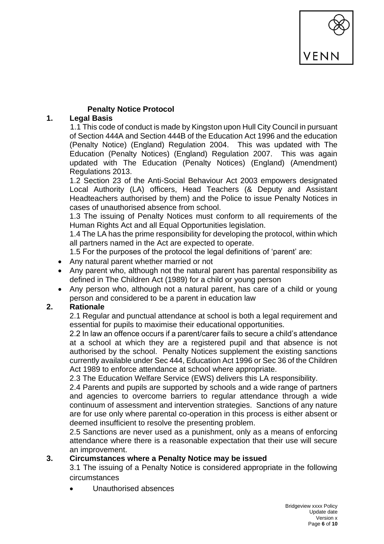

## **Penalty Notice Protocol**

# **1. Legal Basis**

1.1 This code of conduct is made by Kingston upon Hull City Council in pursuant of Section 444A and Section 444B of the Education Act 1996 and the education (Penalty Notice) (England) Regulation 2004. This was updated with The Education (Penalty Notices) (England) Regulation 2007. This was again updated with The Education (Penalty Notices) (England) (Amendment) Regulations 2013.

1.2 Section 23 of the Anti-Social Behaviour Act 2003 empowers designated Local Authority (LA) officers, Head Teachers (& Deputy and Assistant Headteachers authorised by them) and the Police to issue Penalty Notices in cases of unauthorised absence from school.

1.3 The issuing of Penalty Notices must conform to all requirements of the Human Rights Act and all Equal Opportunities legislation.

1.4 The LA has the prime responsibility for developing the protocol, within which all partners named in the Act are expected to operate.

1.5 For the purposes of the protocol the legal definitions of 'parent' are:

- Any natural parent whether married or not
- Any parent who, although not the natural parent has parental responsibility as defined in The Children Act (1989) for a child or young person
- Any person who, although not a natural parent, has care of a child or young person and considered to be a parent in education law

# **2. Rationale**

2.1 Regular and punctual attendance at school is both a legal requirement and essential for pupils to maximise their educational opportunities.

2.2 In law an offence occurs if a parent/carer fails to secure a child's attendance at a school at which they are a registered pupil and that absence is not authorised by the school. Penalty Notices supplement the existing sanctions currently available under Sec 444, Education Act 1996 or Sec 36 of the Children Act 1989 to enforce attendance at school where appropriate.

2.3 The Education Welfare Service (EWS) delivers this LA responsibility.

2.4 Parents and pupils are supported by schools and a wide range of partners and agencies to overcome barriers to regular attendance through a wide continuum of assessment and intervention strategies. Sanctions of any nature are for use only where parental co-operation in this process is either absent or deemed insufficient to resolve the presenting problem.

2.5 Sanctions are never used as a punishment, only as a means of enforcing attendance where there is a reasonable expectation that their use will secure an improvement.

## **3. Circumstances where a Penalty Notice may be issued**

3.1 The issuing of a Penalty Notice is considered appropriate in the following circumstances

• Unauthorised absences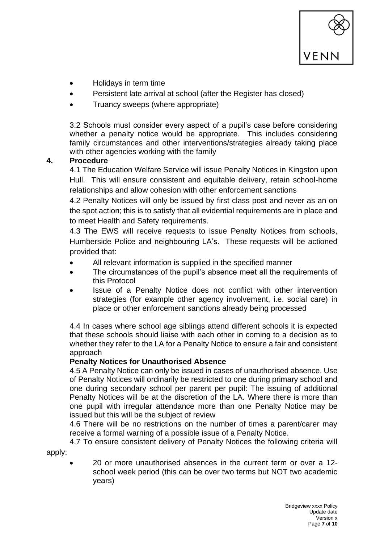

- Holidays in term time
- Persistent late arrival at school (after the Register has closed)
- Truancy sweeps (where appropriate)

3.2 Schools must consider every aspect of a pupil's case before considering whether a penalty notice would be appropriate. This includes considering family circumstances and other interventions/strategies already taking place with other agencies working with the family

## **4. Procedure**

4.1 The Education Welfare Service will issue Penalty Notices in Kingston upon Hull. This will ensure consistent and equitable delivery, retain school-home relationships and allow cohesion with other enforcement sanctions

4.2 Penalty Notices will only be issued by first class post and never as an on the spot action; this is to satisfy that all evidential requirements are in place and to meet Health and Safety requirements.

4.3 The EWS will receive requests to issue Penalty Notices from schools, Humberside Police and neighbouring LA's. These requests will be actioned provided that:

- All relevant information is supplied in the specified manner
- The circumstances of the pupil's absence meet all the requirements of this Protocol
- Issue of a Penalty Notice does not conflict with other intervention strategies (for example other agency involvement, i.e. social care) in place or other enforcement sanctions already being processed

4.4 In cases where school age siblings attend different schools it is expected that these schools should liaise with each other in coming to a decision as to whether they refer to the LA for a Penalty Notice to ensure a fair and consistent approach

## **Penalty Notices for Unauthorised Absence**

4.5 A Penalty Notice can only be issued in cases of unauthorised absence. Use of Penalty Notices will ordinarily be restricted to one during primary school and one during secondary school per parent per pupil: The issuing of additional Penalty Notices will be at the discretion of the LA. Where there is more than one pupil with irregular attendance more than one Penalty Notice may be issued but this will be the subject of review

4.6 There will be no restrictions on the number of times a parent/carer may receive a formal warning of a possible issue of a Penalty Notice.

4.7 To ensure consistent delivery of Penalty Notices the following criteria will apply:

• 20 or more unauthorised absences in the current term or over a 12 school week period (this can be over two terms but NOT two academic years)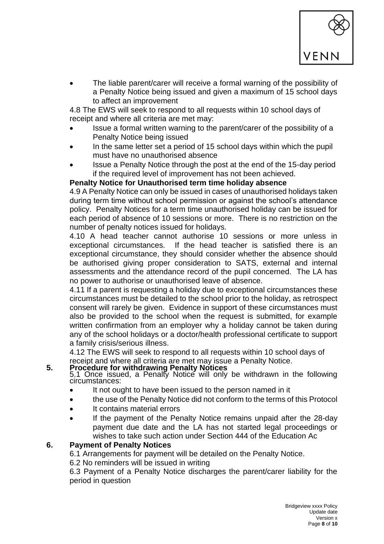

• The liable parent/carer will receive a formal warning of the possibility of a Penalty Notice being issued and given a maximum of 15 school days to affect an improvement

4.8 The EWS will seek to respond to all requests within 10 school days of receipt and where all criteria are met may:

- Issue a formal written warning to the parent/carer of the possibility of a Penalty Notice being issued
- In the same letter set a period of 15 school days within which the pupil must have no unauthorised absence
- Issue a Penalty Notice through the post at the end of the 15-day period if the required level of improvement has not been achieved.

## **Penalty Notice for Unauthorised term time holiday absence**

4.9 A Penalty Notice can only be issued in cases of unauthorised holidays taken during term time without school permission or against the school's attendance policy. Penalty Notices for a term time unauthorised holiday can be issued for each period of absence of 10 sessions or more. There is no restriction on the number of penalty notices issued for holidays.

4.10 A head teacher cannot authorise 10 sessions or more unless in exceptional circumstances. If the head teacher is satisfied there is an exceptional circumstance, they should consider whether the absence should be authorised giving proper consideration to SATS, external and internal assessments and the attendance record of the pupil concerned. The LA has no power to authorise or unauthorised leave of absence.

4.11 If a parent is requesting a holiday due to exceptional circumstances these circumstances must be detailed to the school prior to the holiday, as retrospect consent will rarely be given. Evidence in support of these circumstances must also be provided to the school when the request is submitted, for example written confirmation from an employer why a holiday cannot be taken during any of the school holidays or a doctor/health professional certificate to support a family crisis/serious illness.

4.12 The EWS will seek to respond to all requests within 10 school days of receipt and where all criteria are met may issue a Penalty Notice.

#### **5. Procedure for withdrawing Penalty Notices**

5.1 Once issued, a Penalty Notice will only be withdrawn in the following circumstances:

- It not ought to have been issued to the person named in it
- the use of the Penalty Notice did not conform to the terms of this Protocol
- It contains material errors
- If the payment of the Penalty Notice remains unpaid after the 28-day payment due date and the LA has not started legal proceedings or wishes to take such action under Section 444 of the Education Ac

## **6. Payment of Penalty Notices**

6.1 Arrangements for payment will be detailed on the Penalty Notice.

6.2 No reminders will be issued in writing

6.3 Payment of a Penalty Notice discharges the parent/carer liability for the period in question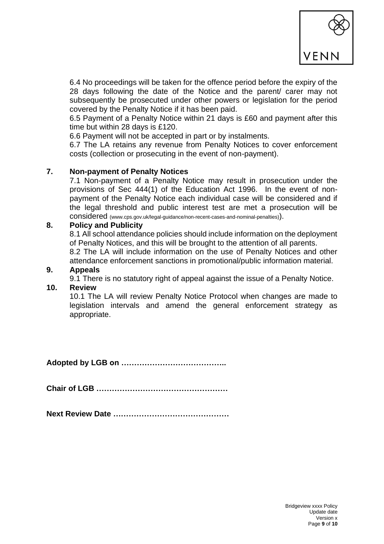

6.4 No proceedings will be taken for the offence period before the expiry of the 28 days following the date of the Notice and the parent/ carer may not subsequently be prosecuted under other powers or legislation for the period covered by the Penalty Notice if it has been paid.

6.5 Payment of a Penalty Notice within 21 days is £60 and payment after this time but within 28 days is £120.

6.6 Payment will not be accepted in part or by instalments.

6.7 The LA retains any revenue from Penalty Notices to cover enforcement costs (collection or prosecuting in the event of non-payment).

#### **7. Non-payment of Penalty Notices**

7.1 Non-payment of a Penalty Notice may result in prosecution under the provisions of Sec 444(1) of the Education Act 1996. In the event of nonpayment of the Penalty Notice each individual case will be considered and if the legal threshold and public interest test are met a prosecution will be considered (www.cps.gov.uk/legal-guidance/non-recent-cases-and-nominal-penalties)).

#### **8. Policy and Publicity**

8.1 All school attendance policies should include information on the deployment of Penalty Notices, and this will be brought to the attention of all parents.

8.2 The LA will include information on the use of Penalty Notices and other attendance enforcement sanctions in promotional/public information material.

#### **9. Appeals**

9.1 There is no statutory right of appeal against the issue of a Penalty Notice.

# **10. Review**

10.1 The LA will review Penalty Notice Protocol when changes are made to legislation intervals and amend the general enforcement strategy as appropriate.

**Adopted by LGB on …………………………………..**

**Chair of LGB ……………………………………………**

**Next Review Date ………………………………………**